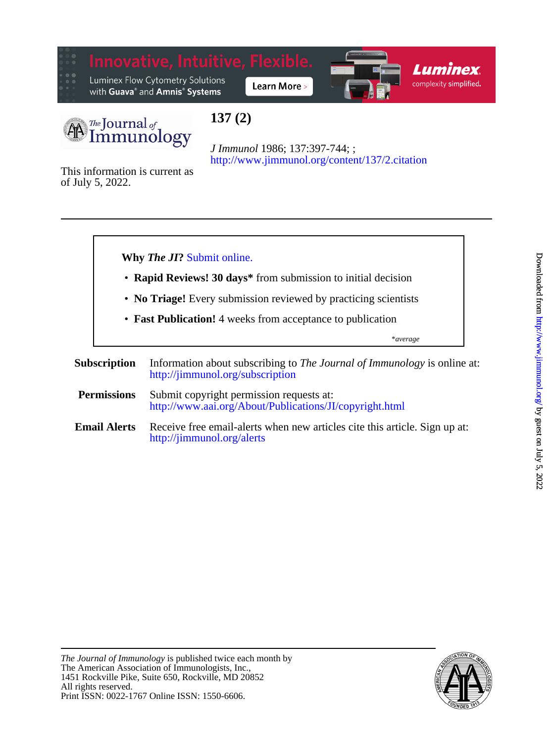

Luminex Flow Cytometry Solutions with Guava® and Amnis® Systems







# **137 (2)**

<http://www.jimmunol.org/content/137/2.citation> *J Immunol* 1986; 137:397-744; ;

of July 5, 2022. This information is current as



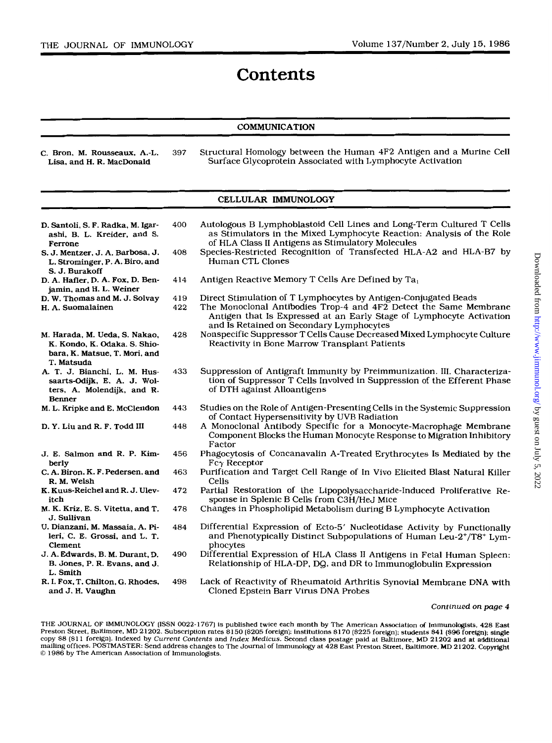# **Contents**

### **COMMUNICATION**

C. Bron, M. Rousseaw, A.-L. **397** Structural Homology between the Human 4F2 Antigen and a Murine Cell Surface Glycoprotein Associated with Lymphocyte Activation

## CELLULAR IMMUNOLOGY

| D. Santoli, S. F. Radka, M. Igar-<br>ashi, B. L. Kreider, and S.<br>Ferrone                                  | 400 | Autologous B Lymphoblastoid Cell Lines and Long-Term Cultured T Cells<br>as Stimulators in the Mixed Lymphocyte Reaction: Analysis of the Role<br>of HLA Class II Antigens as Stimulatory Molecules |
|--------------------------------------------------------------------------------------------------------------|-----|-----------------------------------------------------------------------------------------------------------------------------------------------------------------------------------------------------|
| S. J. Mentzer, J. A. Barbosa, J.<br>L. Strominger, P. A. Biro, and<br>S. J. Burakoff                         | 408 | Species-Restricted Recognition of Transfected HLA-A2 and HLA-B7 by<br>Human CTL Clones                                                                                                              |
| D. A. Hafler, D. A. Fox, D. Ben-<br>jamin, and H. L. Weiner                                                  | 414 | Antigen Reactive Memory T Cells Are Defined by Ta1                                                                                                                                                  |
| D. W. Thomas and M. J. Solvay                                                                                | 419 | Direct Stimulation of T Lymphocytes by Antigen-Conjugated Beads                                                                                                                                     |
| H. A. Suomalainen                                                                                            | 422 | The Monoclonal Antibodies Trop-4 and 4F2 Detect the Same Membrane<br>Antigen that Is Expressed at an Early Stage of Lymphocyte Activation<br>and Is Retained on Secondary Lymphocytes               |
| M. Harada, M. Ueda, S. Nakao,<br>K. Kondo, K. Odaka, S. Shio-<br>bara, K. Matsue, T. Mori, and<br>T. Matsuda | 428 | Nonspecific Suppressor T Cells Cause Decreased Mixed Lymphocyte Culture<br>Reactivity in Bone Marrow Transplant Patients                                                                            |
| A. T. J. Bianchi, L. M. Hus-<br>saarts-Odijk, E. A. J. Wol-<br>ters, A. Molendijk, and R.<br>Benner          | 433 | Suppression of Antigraft Immunity by Preimmunization. III. Characteriza-<br>tion of Suppressor T Cells Involved in Suppression of the Efferent Phase<br>of DTH against Alloantigens                 |
| M. L. Kripke and E. McClendon                                                                                | 443 | Studies on the Role of Antigen-Presenting Cells in the Systemic Suppression<br>of Contact Hypersensitivity by UVB Radiation                                                                         |
| D. Y. Liu and R. F. Todd III                                                                                 | 448 | A Monoclonal Antibody Specific for a Monocyte-Macrophage Membrane<br>Component Blocks the Human Monocyte Response to Migration Inhibitory<br>Factor                                                 |
| J. E. Salmon and R. P. Kim-<br>berly                                                                         | 456 | Phagocytosis of Concanavalin A-Treated Erythrocytes Is Mediated by the<br>$Fc\gamma$ Receptor                                                                                                       |
| C. A. Biron, K. F. Pedersen, and<br>R. M. Welsh                                                              | 463 | Purification and Target Cell Range of In Vivo Elicited Blast Natural Killer<br>Cells                                                                                                                |
| K. Kuus-Reichel and R. J. Ulev-<br>itch                                                                      | 472 | Partial Restoration of the Lipopolysaccharide-Induced Proliferative Re-<br>sponse in Splenic B Cells from C3H/HeJ Mice                                                                              |
| M. K. Kriz, E. S. Vitetta, and T.<br>J. Sullivan                                                             | 478 | Changes in Phospholipid Metabolism during B Lymphocyte Activation                                                                                                                                   |
| U. Dianzani, M. Massaia, A. Pi-<br>leri, C. E. Grossi, and L. T.<br>Clement                                  | 484 | Differential Expression of Ecto-5' Nucleotidase Activity by Functionally<br>and Phenotypically Distinct Subpopulations of Human Leu-2+/T8+ Lym-<br>phocytes                                         |
| J. A. Edwards, B. M. Durant, D.<br>B. Jones, P. R. Evans, and J.<br>L. Smith                                 | 490 | Differential Expression of HLA Class II Antigens in Fetal Human Spleen:<br>Relationship of HLA-DP, DQ, and DR to Immunoglobulin Expression                                                          |
| R. I. Fox, T. Chilton, G. Rhodes,<br>and J. H. Vaughn                                                        | 498 | Lack of Reactivity of Rheumatoid Arthritis Synovial Membrane DNA with<br>Cloned Epstein Barr Virus DNA Probes                                                                                       |

#### **Continued** *on page 4*

THE JOURNAL OF IMMUNOLOGY (ISSN **0022-1767)** is published twice each month by The American Association *of* Immunologists, **428** East Preston Street, Baltimore, MD **21202.** Subscription rates **\$150 (\$205** foreign): institutions **\$170 (\$225** foreign); students **\$41 (\$96** foreign]: single copy \$8 (\$11 foreign). Indexed by *Current Contents* and *Index Medicus. S*econd class postage paid at Baltimore, MD 21202 and at additional<br>mailing offices. POSTMASTER: Send address changes to The Journal of Immunology at *0* **1986** by The American Association of Immunologists.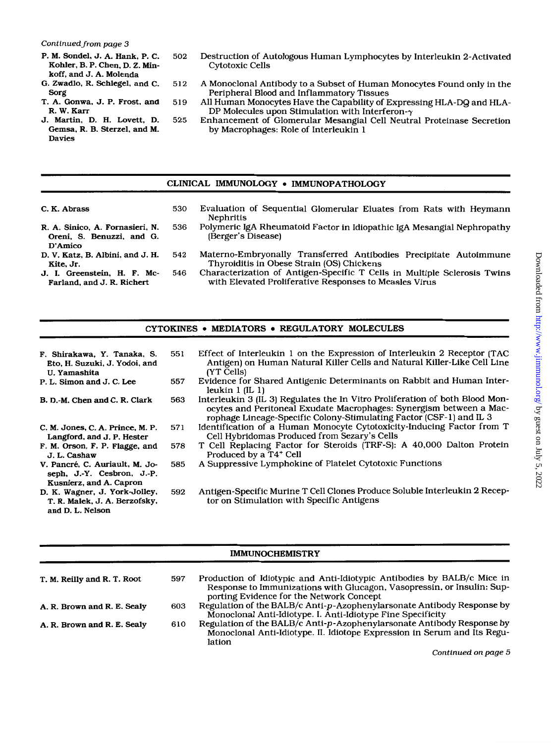- P. M. Sondel, J. A. Hank, P. C. Kohler, B. **P.** Chen. D. 2. Minkoff, and J. **A.** Molenda
- *G.* Zwadlo, R. Schlegel, and C. Sorg
- T. A. Gonwa. J. P. Frost, and R. W. Karr
- J. Martin, D. H. Lovett, D. Gemsa. R. B. Sterzel. and M. Davies
- 502 Destruction of Autologous Human Lymphocytes by Interleukin 2-Activated Cytotoxic Cells
- 512 A Monoclonal Antibody to a Subset of Human Monocytes Found only in the Peripheral Blood and Inflammatory Tissues
- 519 All Human Monocytes Have the Capability of Expressing HLA-DQ and HLA-DP Molecules upon Stimulation with Interferon- $\gamma$
- 525 Enhancement of Glomerular Mesangial Cell Neutral Proteinase Secretion by Macrophages: Role of Interleukin 1

### CLINICAL IMMUNOLOGY *0* IMMUNOPATHOLOGY

C. K. Abrass

Kite, Jr.

- 530 Evaluation of Sequential Glomerular Eluates from Rats with Heymann Nephritis
- R. A. Sinico, A. Fornasieri. **N.**  Oreni, **S.** Benuzzi. and G. D'Amico D. **V.** Katz, B. Albini, and J. H.
- 536 Polymeric IgA Rheumatoid Factor in Idiopathic IgA Mesangial Nephropathy (Berger's Disease)
	- 542 Materno-Embryonally Transferred Antibodies Precipitate Autoimmune Thyroiditis in Obese Strain (OS) Chickens
- J. **I.** Greenstein. **H.** F. Mc-Farland. and J. R. Richert
- 546 Characterization of Antigen-Specific T Cells in Multiple Sclerosis Twins with Elevated Proliferative Responses to Measles Virus

# CYTOKINES • MEDIATORS • REGULATORY MOLECULES

- F. Shirakawa, Y. Tanaka, **S.**  Eto. H. Suzuki, J. Yodoi. and U. Yamashita P. L. Simon and J. C. Lee 551 Effect of Interleukin 1 on the Expression of Interleukin 2 Receptor (TAC
	- (YT Cells) 557 Evidence for Shared Antigenic Determinants on Rabbit and Human Inter-
- B. D.-M. Chen and C. R. Clark
- C. M. Jones, C. A. Prince, M. **P.**  Langford, and J. P. Hester
- F. M. Orson, F. **P.** Flagge. and J. L. Cashaw
- V. Pancré, C. Auriault, M. Joseph, J.-Y. Cesbron. J.-P. Kusnierz, and A. Capron
- D. K. Wagner, J. York-Jolley. T. R. Malek, J. A. Berzofsky. and D. L. Nelson
- Antigen) on Human Natural Killer Cells and Natural Killer-Like Cell Line leukin **1** (IL **1)**
- 563 Interleukin **3** (IL **3)** Regulates the In Vitro Proliferation of both Blood Monocytes and Peritoneal Exudate Macrophages: Synergism between a Macrophage Lineage-Specific Colony-Stimulating Factor (CSF- **1)** and IL **3**
- 571 Identification of a Human Monocyte Cytotoxicity-Inducing Factor from T Cell Hybridomas Produced from Sezary's Cells
- 578 T Cell Replacing Factor for Steroids (TRF-S): A 40,000 Dalton Protein Produced by a T4+ Cell
- 585 A Suppressive Lymphokine of Platelet Cytotoxic Functions
- 592 Antigen-Specific Murine T Cell Clones Produce Soluble Interleukin 2 Receptor on Stimulation with Specific Antigens

### IMMUNOCHEMISTRY

| T. M. Reilly and R. T. Root | 597 | Production of Idiotypic and Anti-Idiotypic Antibodies by BALB/c Mice in<br>Response to Immunizations with Glucagon, Vasopressin, or Insulin: Sup-            |
|-----------------------------|-----|--------------------------------------------------------------------------------------------------------------------------------------------------------------|
|                             |     | porting Evidence for the Network Concept                                                                                                                     |
| A. R. Brown and R. E. Sealy | 603 | Regulation of the BALB/c Anti-p-Azophenylarsonate Antibody Response by<br>Monoclonal Anti-Idiotype. I. Anti-Idiotype Fine Specificity                        |
| A. R. Brown and R. E. Sealy | 610 | Regulation of the BALB/c Anti-p-Azophenylarsonate Antibody Response by<br>Monoclonal Anti-Idiotype. II. Idiotope Expression in Serum and Its Regu-<br>lation |

*Continued on page 5*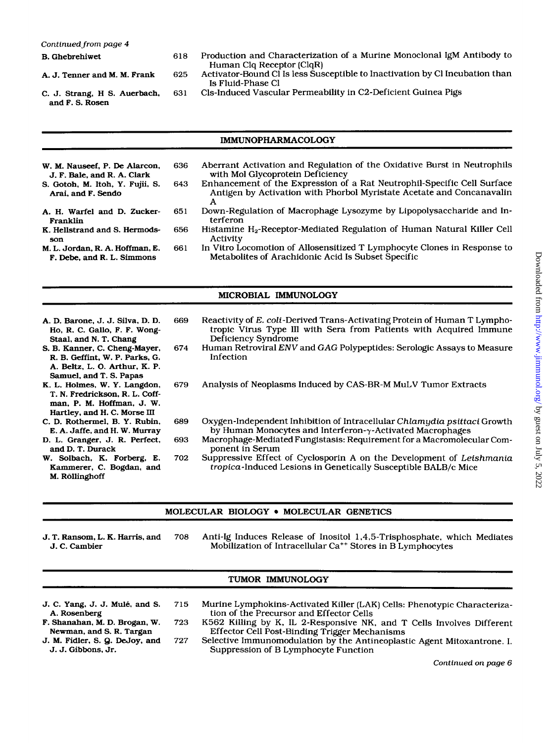- 
- 
- 
- and F. *S.* Rosen
- B. Ghebrehiwet 618 Production and Characterization of a Murine Monoclonal IgM Antibody to Human Clq Receptor (ClqR)
- A. J. Tenner and **M. M.** Frank 625 Activator-Bound C1 Is less Susceptible to Inactivation by C1 Incubation than Is Fluid-Phase C1
- C. J. Strang, H *S.* Auerbach, 631 Cls-Induced Vascular Permeability in C2-Deficient Guinea Pigs

#### IMMUNOPHARMACOLOGY

| W. M. Nauseef, P. De Alarcon,                                 | 636 | Aberrant Activation and Regulation of the Oxidative Burst in Neutrophils                                                                              |
|---------------------------------------------------------------|-----|-------------------------------------------------------------------------------------------------------------------------------------------------------|
| J. F. Bale, and R. A. Clark                                   |     | with Mol Glycoprotein Deficiency                                                                                                                      |
| S. Gotoh, M. Itoh, Y. Fujii, S.<br>Arai. and F. Sendo         | 643 | Enhancement of the Expression of a Rat Neutrophil-Specific Cell Surface<br>Antigen by Activation with Phorbol Myristate Acetate and Concanavalin<br>А |
| A. H. Warfel and D. Zucker-<br>Franklin                       | 651 | Down-Regulation of Macrophage Lysozyme by Lipopolysaccharide and In-<br>terferon                                                                      |
| K. Hellstrand and S. Hermods-<br>son                          | 656 | Histamine H <sub>2</sub> -Receptor-Mediated Regulation of Human Natural Killer Cell<br>Activity                                                       |
| M. L. Jordan, R. A. Hoffman, E.<br>F. Debe, and R. L. Simmons | 661 | In Vitro Locomotion of Allosensitized T Lymphocyte Clones in Response to<br>Metabolites of Arachidonic Acid Is Subset Specific                        |
|                                                               |     |                                                                                                                                                       |

#### MICROBIAL IMMUNOLOGY

A. D. Barone, J. J. Silva, **D. D.**  Ho, R. C. Gallo. **F.** F. WON-Staal. and N. T. Chang *S.* B. Kanner. C. Cheng-Mayer. R. B. Geffint. W. P. Parks, G. A. Beltz. L. *0.* **Arthur,** K. P. Samuel, and T. *S.* Papas K. L. Holmes, W. **Y.** Langdon. T. N. Fredrickson, R. L. Coffman, P. **M.** Hoffman, J. W. Hartley, and H. C. Morse **III**  C. **D.** Rothermel, B. **Y.** Rubin. **E.** A. Jaffe. and **H.** W. Murray **D.** L. Granger, J. **R.** Perfect, and D. T. Durack W. Solbach. **K.** Forberg. E. Kammerer, C. Bogdan, and M. Rollinghoff 669 Reactivity of *E.* coli-Derived Trans-Activating Protein of Human T Lymphotropic Virus Type I11 with Sera from Patients with Acquired Immune Deficiency Syndrome 674 Human Retroviral *ENV* and **GAG** Polypeptides: Serologic Assays to Measure Infection 679 Analysis of Neoplasms Induced by CAS-BR-M MuLV Tumor Extracts 689 Oxygen-Independent Inhibition of Intracellular Chlamydia psittaci Growth by Human Monocytes and Interferon- $\gamma$ -Activated Macrophages 693 Macrophage-Mediated Fungistasis: Requirement for a Macromolecular Component in Serum 702 Suppressive Effect of Cyclosporin A on the Development of Leishmania tropica-Induced Lesions in Genetically Susceptible BALB/c Mice

#### MOLECULAR BIOLOGY . MOLECULAR GENETICS

J. T. Ransom, **L.** K. **Harris.** and 708 Anti-Ig Induces Release of Inositol 1,4,5-Trisphosphate, which Mediates Mobilization of Intracellular Ca<sup>++</sup> Stores in B Lymphocytes

## TUMOR IMMUNOLOGY

- 
- 
- 
- J. C. *Yang,* J. J. **Mule,** and *S.* 715 Murine Lymphokins-Activated Killer (LAK) Cells: Phenotypic Characterization of the Precursor and Effector Cells
- F. Shanahan, M. D. Brogan, W. 723 K562 Killing by K, IL 2-Responsive NK, and T Cells Involves Different Newman, and S. R. Targan Effector Cell Post-Binding Trigger Mechanisms Effector Cell Post-Binding Trigger Mechanisms
- J. M. Fidler, S. Q. DeJoy, and 727 Selective Immunomodulation by the Antineoplastic Agent Mitoxantrone. I.<br>J. J. Gibbons, Jr. Suppression of B Lymphocyte Function Suppression of B Lymphocyte Function